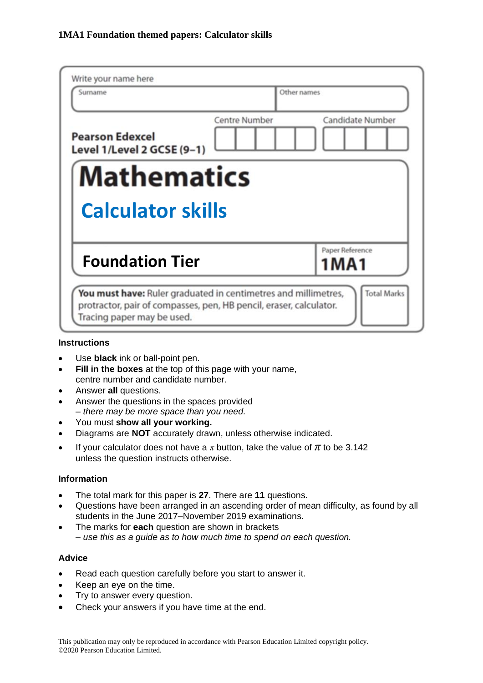| Write your name here<br>Surname                      |                      | Other names                |
|------------------------------------------------------|----------------------|----------------------------|
| <b>Pearson Edexcel</b><br>Level 1/Level 2 GCSE (9-1) | <b>Centre Number</b> | Candidate Number           |
| <b>Mathematics</b>                                   |                      |                            |
|                                                      |                      |                            |
| <b>Calculator skills</b>                             |                      |                            |
| <b>Foundation Tier</b>                               |                      | Paper Reference<br>1 M A 1 |

# **Instructions**

- Use **black** ink or ball-point pen.
- **Fill in the boxes** at the top of this page with your name, centre number and candidate number.
- Answer **all** questions.
- Answer the questions in the spaces provided *– there may be more space than you need.*
- You must **show all your working.**
- Diagrams are **NOT** accurately drawn, unless otherwise indicated.
- If your calculator does not have a  $\pi$  button, take the value of  $\pi$  to be 3.142 unless the question instructs otherwise.

### **Information**

- The total mark for this paper is **27**. There are **11** questions.
- Questions have been arranged in an ascending order of mean difficulty, as found by all students in the June 2017–November 2019 examinations.
- The marks for **each** question are shown in brackets *– use this as a guide as to how much time to spend on each question.*

#### **Advice**

- Read each question carefully before you start to answer it.
- Keep an eye on the time.
- Try to answer every question.
- Check your answers if you have time at the end.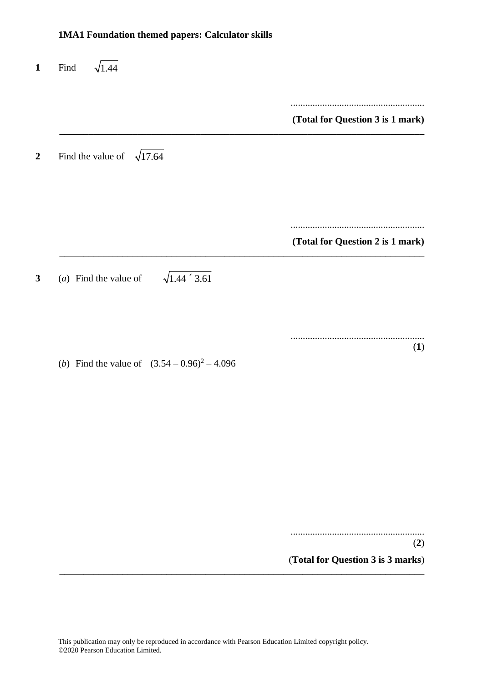# **1MA1 Foundation themed papers: Calculator skills 1** Find  $\sqrt{1.44}$ ....................................................... **(Total for Question 3 is 1 mark) \_\_\_\_\_\_\_\_\_\_\_\_\_\_\_\_\_\_\_\_\_\_\_\_\_\_\_\_\_\_\_\_\_\_\_\_\_\_\_\_\_\_\_\_\_\_\_\_\_\_\_\_\_\_\_\_\_\_\_\_\_\_\_\_\_\_\_\_\_\_\_\_\_\_\_** 2 Find the value of  $\sqrt{17.64}$ ....................................................... **(Total for Question 2 is 1 mark) \_\_\_\_\_\_\_\_\_\_\_\_\_\_\_\_\_\_\_\_\_\_\_\_\_\_\_\_\_\_\_\_\_\_\_\_\_\_\_\_\_\_\_\_\_\_\_\_\_\_\_\_\_\_\_\_\_\_\_\_\_\_\_\_\_\_\_\_\_\_\_\_\_\_\_ 3** (*a*) Find the value of  $\sqrt{1.44 \div 3.61}$ ....................................................... (**1**) (*b*) Find the value of  $(3.54 - 0.96)^2 - 4.096$

.......................................................

(**2**)

(**Total for Question 3 is 3 marks**) **\_\_\_\_\_\_\_\_\_\_\_\_\_\_\_\_\_\_\_\_\_\_\_\_\_\_\_\_\_\_\_\_\_\_\_\_\_\_\_\_\_\_\_\_\_\_\_\_\_\_\_\_\_\_\_\_\_\_\_\_\_\_\_\_\_\_\_\_\_\_\_\_\_\_\_**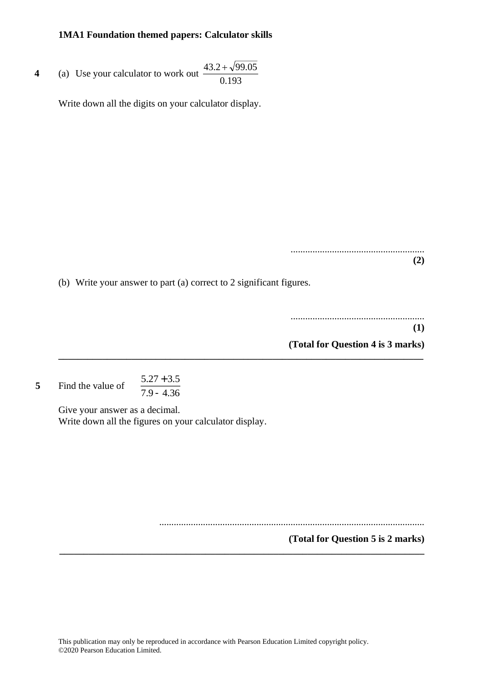**4** (a) Use your calculator to work out  $\frac{(3.2 + \sqrt{2})}{0.193}$  $43.2 + \sqrt{99.05}$ 

Write down all the digits on your calculator display.

....................................................... **(2)**

(b) Write your answer to part (a) correct to 2 significant figures.

**\_\_\_\_\_\_\_\_\_\_\_\_\_\_\_\_\_\_\_\_\_\_\_\_\_\_\_\_\_\_\_\_\_\_\_\_\_\_\_\_\_\_\_\_\_\_\_\_\_\_\_\_\_\_\_\_\_\_\_\_\_\_\_\_\_\_\_\_\_\_\_\_\_\_\_**

....................................................... **(1) (Total for Question 4 is 3 marks)**

**5** Find the value of  $5.27 + 3.5$  $\overline{7.9 - 4.36}$ 

> Give your answer as a decimal. Write down all the figures on your calculator display.

> > .............................................................................................................

**(Total for Question 5 is 2 marks) \_\_\_\_\_\_\_\_\_\_\_\_\_\_\_\_\_\_\_\_\_\_\_\_\_\_\_\_\_\_\_\_\_\_\_\_\_\_\_\_\_\_\_\_\_\_\_\_\_\_\_\_\_\_\_\_\_\_\_\_\_\_\_\_\_\_\_\_\_\_\_\_\_\_\_**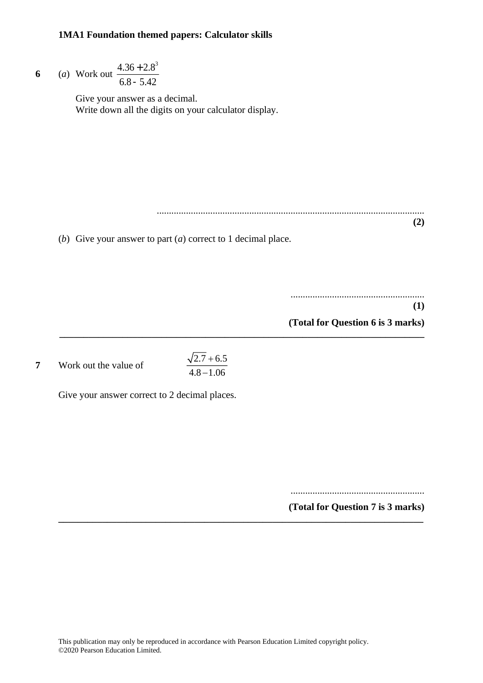\n- 6 (a) Work out 
$$
\frac{4.36 + 2.8^3}{6.8 - 5.42}
$$
 Give your answer as a decimal. Write down all the digits on your calculator display.
\n- (b) Give your answer to part (a) correct to 1 decimal place.
\n- (1)
\n

**(Total for Question 6 is 3 marks)**

**7** Work out the value of

 $2.7 + 6.5$  $4.8\!-\!1.06$ + −

**\_\_\_\_\_\_\_\_\_\_\_\_\_\_\_\_\_\_\_\_\_\_\_\_\_\_\_\_\_\_\_\_\_\_\_\_\_\_\_\_\_\_\_\_\_\_\_\_\_\_\_\_\_\_\_\_\_\_\_\_\_\_\_\_\_\_\_\_\_\_\_\_\_\_\_**

**\_\_\_\_\_\_\_\_\_\_\_\_\_\_\_\_\_\_\_\_\_\_\_\_\_\_\_\_\_\_\_\_\_\_\_\_\_\_\_\_\_\_\_\_\_\_\_\_\_\_\_\_\_\_\_\_\_\_\_\_\_\_\_\_\_\_\_\_\_\_\_\_\_\_\_**

Give your answer correct to 2 decimal places.

.......................................................

**(Total for Question 7 is 3 marks)**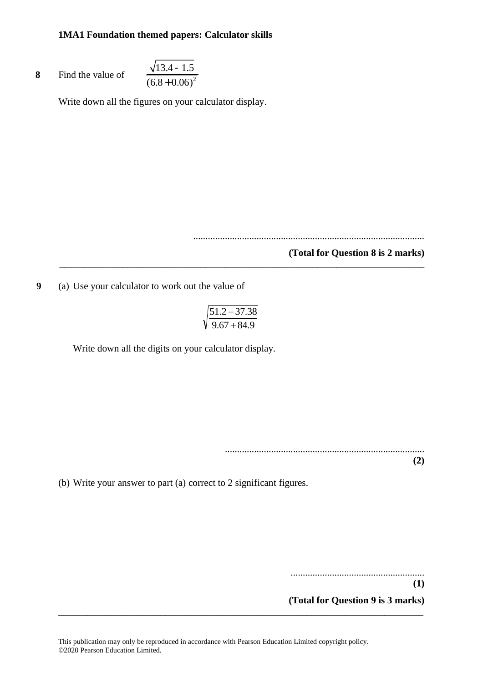8 Find the value of 
$$
\frac{\sqrt{13.4 - 1.5}}{(6.8 + 0.06)^2}
$$

Write down all the figures on your calculator display.

...............................................................................................

#### **(Total for Question 8 is 2 marks)**

**9** (a) Use your calculator to work out the value of

$$
\sqrt{\frac{51.2 - 37.38}{9.67 + 84.9}}
$$

**\_\_\_\_\_\_\_\_\_\_\_\_\_\_\_\_\_\_\_\_\_\_\_\_\_\_\_\_\_\_\_\_\_\_\_\_\_\_\_\_\_\_\_\_\_\_\_\_\_\_\_\_\_\_\_\_\_\_\_\_\_\_\_\_\_\_\_\_\_\_\_\_\_\_\_**

Write down all the digits on your calculator display.

..................................................................................

(b) Write your answer to part (a) correct to 2 significant figures.

....................................................... **(1)**

**(2)**

**(Total for Question 9 is 3 marks)**

**\_\_\_\_\_\_\_\_\_\_\_\_\_\_\_\_\_\_\_\_\_\_\_\_\_\_\_\_\_\_\_\_\_\_\_\_\_\_\_\_\_\_\_\_\_\_\_\_\_\_\_\_\_\_\_\_\_\_\_\_\_\_\_\_\_\_\_\_\_\_\_\_\_\_\_**